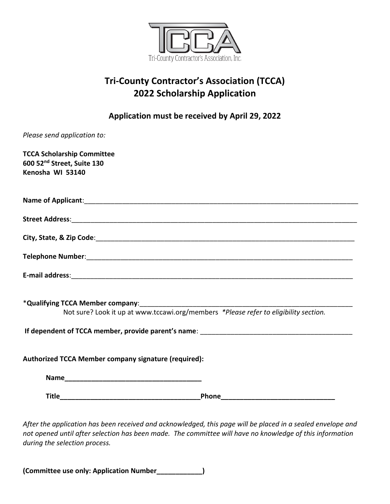

# **Tri-County Contractor's Association (TCCA) 2022 Scholarship Application**

**Application must be received by April 29, 2022**

| Please send application to:                                                                     |
|-------------------------------------------------------------------------------------------------|
| <b>TCCA Scholarship Committee</b><br>600 52 <sup>nd</sup> Street, Suite 130<br>Kenosha WI 53140 |
|                                                                                                 |
|                                                                                                 |
|                                                                                                 |
|                                                                                                 |
|                                                                                                 |
| Not sure? Look it up at www.tccawi.org/members *Please refer to eligibility section.            |
|                                                                                                 |
| Authorized TCCA Member company signature (required):                                            |
|                                                                                                 |
|                                                                                                 |
|                                                                                                 |

*After the application has been received and acknowledged, this page will be placed in a sealed envelope and not opened until after selection has been made. The committee will have no knowledge of this information during the selection process.*

**(Committee use only: Application Number\_\_\_\_\_\_\_\_\_\_\_\_)**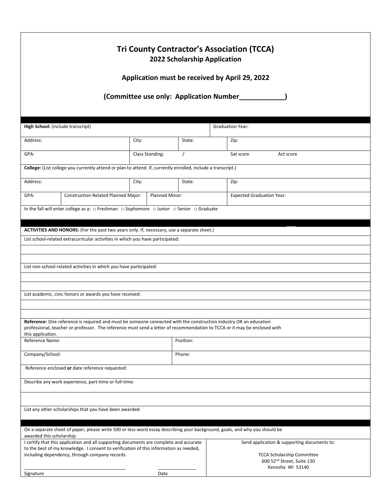|                                                                                                                                         |                                         | 2022 Scholarship Application | <b>Tri County Contractor's Association (TCCA)</b> |  |
|-----------------------------------------------------------------------------------------------------------------------------------------|-----------------------------------------|------------------------------|---------------------------------------------------|--|
|                                                                                                                                         |                                         |                              | Application must be received by April 29, 2022    |  |
|                                                                                                                                         | (Committee use only: Application Number |                              |                                                   |  |
| High School: (include transcript)                                                                                                       |                                         |                              | <b>Graduation Year:</b>                           |  |
| Address:                                                                                                                                | City:                                   | State:                       | Zip:                                              |  |
| GPA:                                                                                                                                    | Class Standing:<br>$\prime$             |                              | Sat score<br>Act score                            |  |
| College: (List college you currently attend or plan to attend. If, currently enrolled, include a transcript.)                           |                                         |                              |                                                   |  |
| Address:                                                                                                                                | City:                                   | State:                       | Zip:                                              |  |
|                                                                                                                                         |                                         |                              |                                                   |  |
| Construction-Related Planned Major:<br>GPA:                                                                                             |                                         | Planned Minor:               | <b>Expected Graduation Year:</b>                  |  |
| In the fall will enter college as a: $\Box$ Freshman $\Box$ Sophomore $\Box$ Junior $\Box$ Senior $\Box$ Graduate                       |                                         |                              |                                                   |  |
| ACTIVITIES AND HONORS: (For the past two years only. If, necessary, use a separate sheet.)                                              |                                         |                              |                                                   |  |
| List school-related extracurricular activities in which you have participated:                                                          |                                         |                              |                                                   |  |
|                                                                                                                                         |                                         |                              |                                                   |  |
|                                                                                                                                         |                                         |                              |                                                   |  |
| List non-school-related activities in which you have participated:                                                                      |                                         |                              |                                                   |  |
|                                                                                                                                         |                                         |                              |                                                   |  |
|                                                                                                                                         |                                         |                              |                                                   |  |
| List academic, civic honors or awards you have received:                                                                                |                                         |                              |                                                   |  |
|                                                                                                                                         |                                         |                              |                                                   |  |
| Reference: One reference is required and must be someone connected with the construction industry OR an education                       |                                         |                              |                                                   |  |
| professional, teacher or professor. The reference must send a letter of recommendation to TCCA or it may be enclosed with               |                                         |                              |                                                   |  |
| this application.<br>Reference Name:                                                                                                    |                                         | Position:                    |                                                   |  |
|                                                                                                                                         |                                         |                              |                                                   |  |
| Company/School:                                                                                                                         |                                         | Phone:                       |                                                   |  |
| Reference enclosed or date reference requested:                                                                                         |                                         |                              |                                                   |  |
| Describe any work experience, part-time or full-time:                                                                                   |                                         |                              |                                                   |  |
|                                                                                                                                         |                                         |                              |                                                   |  |
|                                                                                                                                         |                                         |                              |                                                   |  |
| List any other scholarships that you have been awarded:                                                                                 |                                         |                              |                                                   |  |
| On a separate sheet of paper, please write 500 or less-word essay describing your background, goals, and why you should be              |                                         |                              |                                                   |  |
| awarded this scholarship.<br>I certify that this application and all supporting documents are complete and accurate                     |                                         |                              | Send application & supporting documents to:       |  |
| to the best of my knowledge. I consent to verification of this information as needed,<br>including dependency, through company records. |                                         |                              | <b>TCCA Scholarship Committee</b>                 |  |
|                                                                                                                                         |                                         |                              | 600 52 <sup>nd</sup> Street, Suite 130            |  |
|                                                                                                                                         |                                         |                              | Kenosha WI 53140                                  |  |